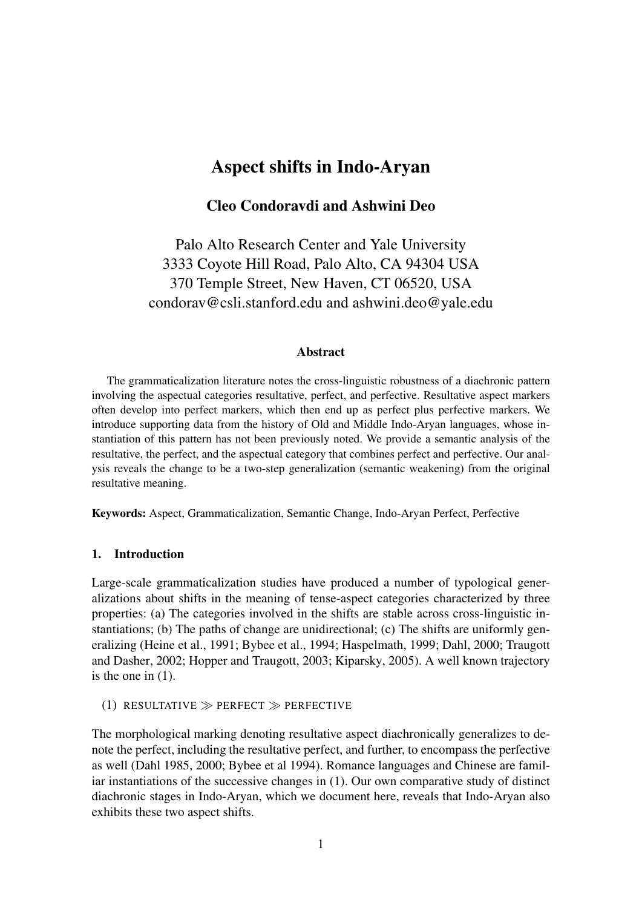# Aspect shifts in Indo-Aryan

Cleo Condoravdi and Ashwini Deo

Palo Alto Research Center and Yale University 3333 Coyote Hill Road, Palo Alto, CA 94304 USA 370 Temple Street, New Haven, CT 06520, USA condorav@csli.stanford.edu and ashwini.deo@yale.edu

# Abstract

The grammaticalization literature notes the cross-linguistic robustness of a diachronic pattern involving the aspectual categories resultative, perfect, and perfective. Resultative aspect markers often develop into perfect markers, which then end up as perfect plus perfective markers. We introduce supporting data from the history of Old and Middle Indo-Aryan languages, whose instantiation of this pattern has not been previously noted. We provide a semantic analysis of the resultative, the perfect, and the aspectual category that combines perfect and perfective. Our analysis reveals the change to be a two-step generalization (semantic weakening) from the original resultative meaning.

Keywords: Aspect, Grammaticalization, Semantic Change, Indo-Aryan Perfect, Perfective

# 1. Introduction

Large-scale grammaticalization studies have produced a number of typological generalizations about shifts in the meaning of tense-aspect categories characterized by three properties: (a) The categories involved in the shifts are stable across cross-linguistic instantiations; (b) The paths of change are unidirectional; (c) The shifts are uniformly generalizing (Heine et al., 1991; Bybee et al., 1994; Haspelmath, 1999; Dahl, 2000; Traugott and Dasher, 2002; Hopper and Traugott, 2003; Kiparsky, 2005). A well known trajectory is the one in (1).

(1) RESULTATIVE  $\gg$  PERFECT  $\gg$  PERFECTIVE

The morphological marking denoting resultative aspect diachronically generalizes to denote the perfect, including the resultative perfect, and further, to encompass the perfective as well (Dahl 1985, 2000; Bybee et al 1994). Romance languages and Chinese are familiar instantiations of the successive changes in (1). Our own comparative study of distinct diachronic stages in Indo-Aryan, which we document here, reveals that Indo-Aryan also exhibits these two aspect shifts.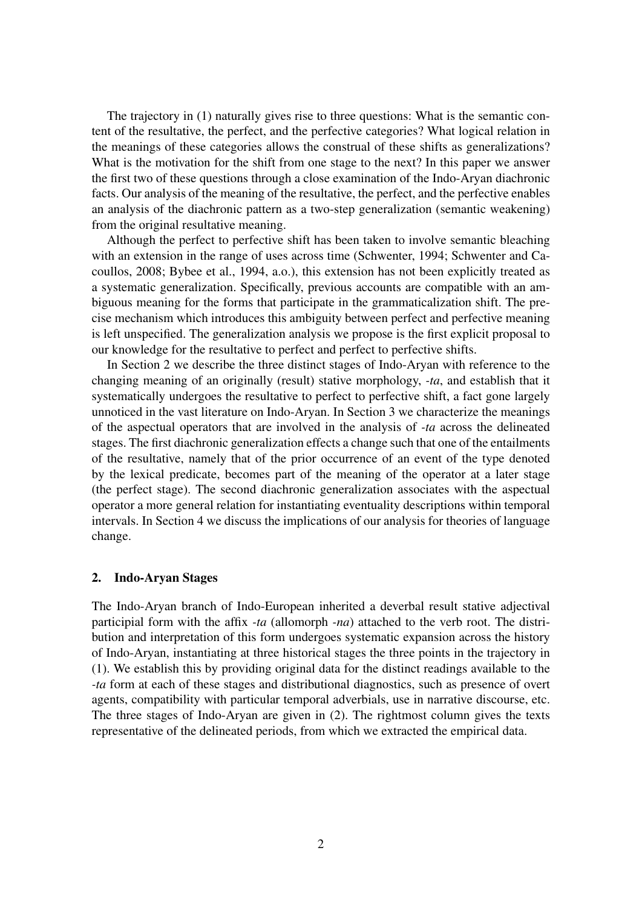The trajectory in (1) naturally gives rise to three questions: What is the semantic content of the resultative, the perfect, and the perfective categories? What logical relation in the meanings of these categories allows the construal of these shifts as generalizations? What is the motivation for the shift from one stage to the next? In this paper we answer the first two of these questions through a close examination of the Indo-Aryan diachronic facts. Our analysis of the meaning of the resultative, the perfect, and the perfective enables an analysis of the diachronic pattern as a two-step generalization (semantic weakening) from the original resultative meaning.

Although the perfect to perfective shift has been taken to involve semantic bleaching with an extension in the range of uses across time (Schwenter, 1994; Schwenter and Cacoullos, 2008; Bybee et al., 1994, a.o.), this extension has not been explicitly treated as a systematic generalization. Specifically, previous accounts are compatible with an ambiguous meaning for the forms that participate in the grammaticalization shift. The precise mechanism which introduces this ambiguity between perfect and perfective meaning is left unspecified. The generalization analysis we propose is the first explicit proposal to our knowledge for the resultative to perfect and perfect to perfective shifts.

In Section 2 we describe the three distinct stages of Indo-Aryan with reference to the changing meaning of an originally (result) stative morphology, *-ta*, and establish that it systematically undergoes the resultative to perfect to perfective shift, a fact gone largely unnoticed in the vast literature on Indo-Aryan. In Section 3 we characterize the meanings of the aspectual operators that are involved in the analysis of *-ta* across the delineated stages. The first diachronic generalization effects a change such that one of the entailments of the resultative, namely that of the prior occurrence of an event of the type denoted by the lexical predicate, becomes part of the meaning of the operator at a later stage (the perfect stage). The second diachronic generalization associates with the aspectual operator a more general relation for instantiating eventuality descriptions within temporal intervals. In Section 4 we discuss the implications of our analysis for theories of language change.

# 2. Indo-Aryan Stages

The Indo-Aryan branch of Indo-European inherited a deverbal result stative adjectival participial form with the affix *-ta* (allomorph *-na*) attached to the verb root. The distribution and interpretation of this form undergoes systematic expansion across the history of Indo-Aryan, instantiating at three historical stages the three points in the trajectory in (1). We establish this by providing original data for the distinct readings available to the *-ta* form at each of these stages and distributional diagnostics, such as presence of overt agents, compatibility with particular temporal adverbials, use in narrative discourse, etc. The three stages of Indo-Aryan are given in (2). The rightmost column gives the texts representative of the delineated periods, from which we extracted the empirical data.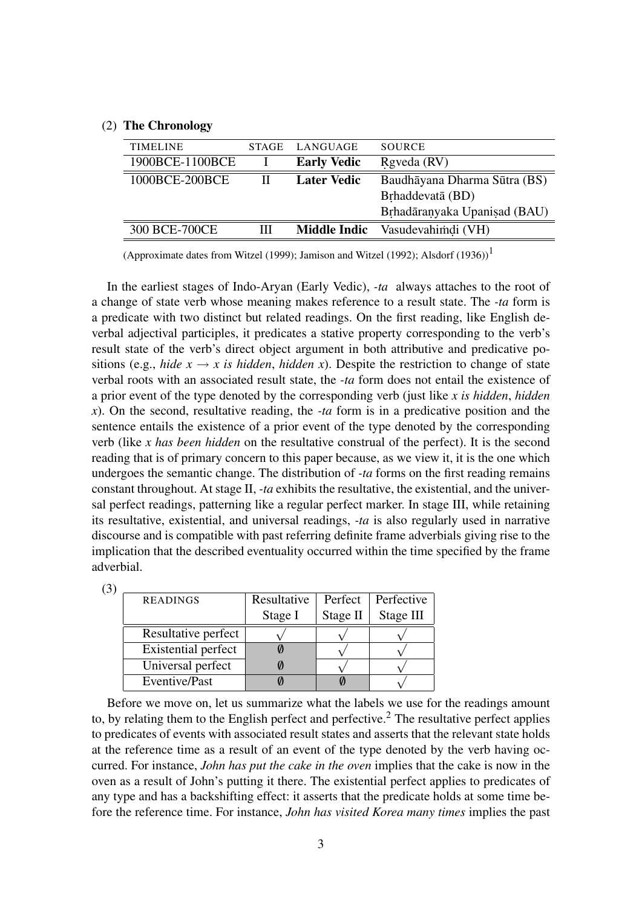## (2) The Chronology

| <b>STAGE</b> |                     | <b>SOURCE</b>                |
|--------------|---------------------|------------------------------|
| $\mathbf{I}$ | <b>Early Vedic</b>  | Rgveda (RV)                  |
| Н            | <b>Later Vedic</b>  | Baudhāyana Dharma Sūtra (BS) |
|              |                     | Brhaddevatā (BD)             |
|              |                     | Brhadāranyaka Upanisad (BAU) |
| Ш            | <b>Middle Indic</b> | Vasudevahimdi (VH)           |
|              |                     | LANGUAGE                     |

(Approximate dates from Witzel (1999); Jamison and Witzel (1992); Alsdorf (1936))<sup>1</sup>

In the earliest stages of Indo-Aryan (Early Vedic), *-ta* always attaches to the root of a change of state verb whose meaning makes reference to a result state. The *-ta* form is a predicate with two distinct but related readings. On the first reading, like English deverbal adjectival participles, it predicates a stative property corresponding to the verb's result state of the verb's direct object argument in both attributive and predicative positions (e.g., *hide*  $x \rightarrow x$  *is hidden, hidden x*). Despite the restriction to change of state verbal roots with an associated result state, the *-ta* form does not entail the existence of a prior event of the type denoted by the corresponding verb (just like *x is hidden*, *hidden x*). On the second, resultative reading, the *-ta* form is in a predicative position and the sentence entails the existence of a prior event of the type denoted by the corresponding verb (like *x has been hidden* on the resultative construal of the perfect). It is the second reading that is of primary concern to this paper because, as we view it, it is the one which undergoes the semantic change. The distribution of *-ta* forms on the first reading remains constant throughout. At stage II, *-ta* exhibits the resultative, the existential, and the universal perfect readings, patterning like a regular perfect marker. In stage III, while retaining its resultative, existential, and universal readings, *-ta* is also regularly used in narrative discourse and is compatible with past referring definite frame adverbials giving rise to the implication that the described eventuality occurred within the time specified by the frame adverbial.

| <b>READINGS</b>      | Resultative | Perfect  | Perfective |
|----------------------|-------------|----------|------------|
|                      | Stage I     | Stage II | Stage III  |
| Resultative perfect  |             |          |            |
| Existential perfect  |             |          |            |
| Universal perfect    |             |          |            |
| <b>Eventive/Past</b> |             |          |            |

Before we move on, let us summarize what the labels we use for the readings amount to, by relating them to the English perfect and perfective.<sup>2</sup> The resultative perfect applies to predicates of events with associated result states and asserts that the relevant state holds at the reference time as a result of an event of the type denoted by the verb having occurred. For instance, *John has put the cake in the oven* implies that the cake is now in the oven as a result of John's putting it there. The existential perfect applies to predicates of any type and has a backshifting effect: it asserts that the predicate holds at some time before the reference time. For instance, *John has visited Korea many times* implies the past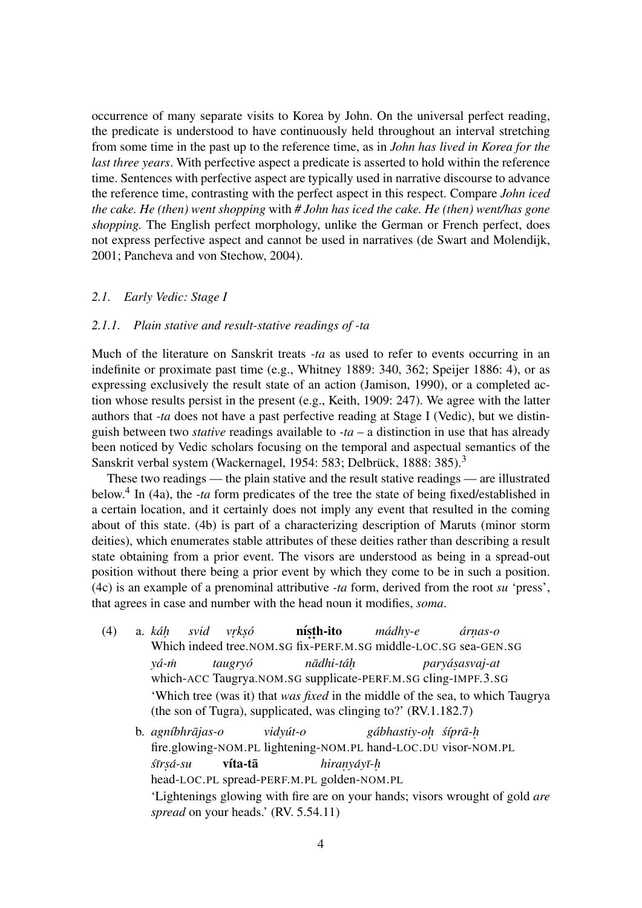occurrence of many separate visits to Korea by John. On the universal perfect reading, the predicate is understood to have continuously held throughout an interval stretching from some time in the past up to the reference time, as in *John has lived in Korea for the last three years*. With perfective aspect a predicate is asserted to hold within the reference time. Sentences with perfective aspect are typically used in narrative discourse to advance the reference time, contrasting with the perfect aspect in this respect. Compare *John iced the cake. He (then) went shopping* with *# John has iced the cake. He (then) went/has gone shopping.* The English perfect morphology, unlike the German or French perfect, does not express perfective aspect and cannot be used in narratives (de Swart and Molendijk, 2001; Pancheva and von Stechow, 2004).

## *2.1. Early Vedic: Stage I*

# *2.1.1. Plain stative and result-stative readings of -ta*

Much of the literature on Sanskrit treats *-ta* as used to refer to events occurring in an indefinite or proximate past time (e.g., Whitney 1889: 340, 362; Speijer 1886: 4), or as expressing exclusively the result state of an action (Jamison, 1990), or a completed action whose results persist in the present (e.g., Keith, 1909: 247). We agree with the latter authors that *-ta* does not have a past perfective reading at Stage I (Vedic), but we distinguish between two *stative* readings available to *-ta* – a distinction in use that has already been noticed by Vedic scholars focusing on the temporal and aspectual semantics of the Sanskrit verbal system (Wackernagel, 1954: 583; Delbrück, 1888: 385).<sup>3</sup>

These two readings — the plain stative and the result stative readings — are illustrated below.<sup>4</sup> In (4a), the *-ta* form predicates of the tree the state of being fixed/established in a certain location, and it certainly does not imply any event that resulted in the coming about of this state. (4b) is part of a characterizing description of Maruts (minor storm deities), which enumerates stable attributes of these deities rather than describing a result state obtaining from a prior event. The visors are understood as being in a spread-out position without there being a prior event by which they come to be in such a position. (4c) is an example of a prenominal attributive *-ta* form, derived from the root *su* 'press', that agrees in case and number with the head noun it modifies, *soma*.

- (4) a. *kah´.* Which indeed tree.NOM.SG fix-PERF.M.SG middle-LOC.SG sea-GEN.SG *svid*  $v$ *rksó* nísth-ito *madhy-e ´ arn ´ . as-o*  $v$ *á-m* which-ACC Taugrya.NOM.SG supplicate-PERF.M.SG cling-IMPF.3.SG *taugryo´ nadhi-t ¯ ah´. paryas´. asvaj-at* 'Which tree (was it) that *was fixed* in the middle of the sea, to which Taugrya (the son of Tugra), supplicated, was clinging to?' (RV.1.182.7)
	- b. *agníbhrājas-o* fire.glowing-NOM.PL lightening-NOM.PL hand-LOC.DU visor-NOM.PL *vidyut-o ´ gabhastiy-oh ´ . s´´ıpra-h ¯ . s´¯ırs. a-su ´* head-LOC.PL spread-PERF.M.PL golden-NOM.PL víta-tā *hiran. yay´ ¯ı-h.* 'Lightenings glowing with fire are on your hands; visors wrought of gold *are spread* on your heads.' (RV. 5.54.11)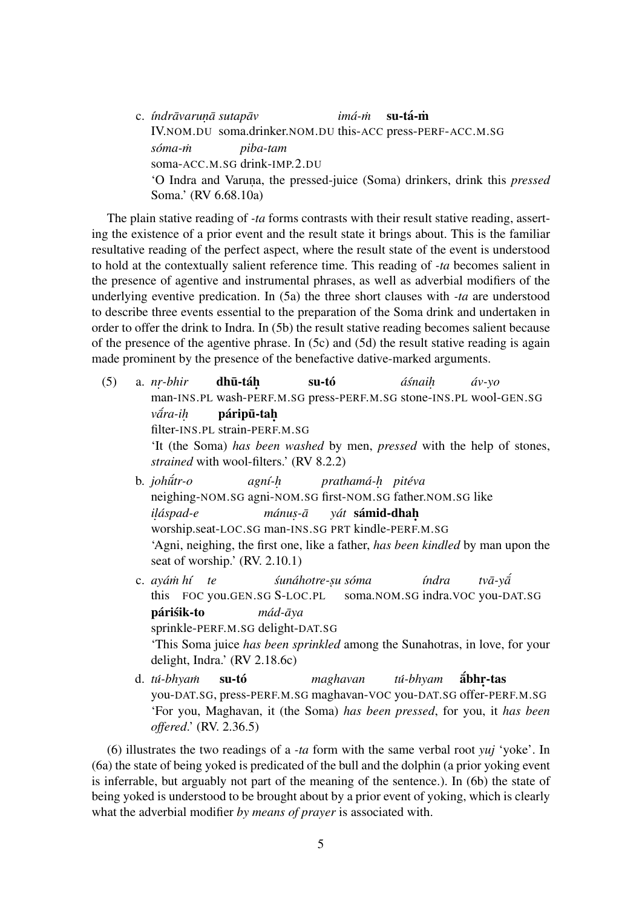c. *índrāvaruṇā sutapāv* IV.NOM.DU soma.drinker.NOM.DU this-ACC press-PERF-ACC.M.SG *imá-m*  $s$ u-tá- $\dot m$ *soma- ´ m˙* soma-ACC.M.SG drink-IMP.2.DU *piba-tam* 'O Indra and Varuna, the pressed-juice (Soma) drinkers, drink this *pressed* Soma.' (RV 6.68.10a)

The plain stative reading of *-ta* forms contrasts with their result stative reading, asserting the existence of a prior event and the result state it brings about. This is the familiar resultative reading of the perfect aspect, where the result state of the event is understood to hold at the contextually salient reference time. This reading of *-ta* becomes salient in the presence of agentive and instrumental phrases, as well as adverbial modifiers of the underlying eventive predication. In (5a) the three short clauses with *-ta* are understood to describe three events essential to the preparation of the Soma drink and undertaken in order to offer the drink to Indra. In (5b) the result stative reading becomes salient because of the presence of the agentive phrase. In (5c) and (5d) the result stative reading is again made prominent by the presence of the benefactive dative-marked arguments.

- (5) a. *nr. -bhir* man-INS.PL wash-PERF.M.SG press-PERF.M.SG stone-INS.PL wool-GEN.SG dhū-táḥ su-to´ *a´snaih ´ . av-yo ´*  $v\acute{a}$ ra-iḥ filter-INS.PL strain-PERF.M.SG páripū-taḥ 'It (the Soma) *has been washed* by men, *pressed* with the help of stones, *strained* with wool-filters.' (RV 8.2.2)
	- b. *johūtr-o* neighing-NOM.SG agni-NOM.SG first-NOM.SG father.NOM.SG like *agn´ı-h. prathama-h ´ . piteva ´ il .aspad-e ´* worship.seat-LOC.SG man-INS.SG PRT kindle-PERF.M.SG *manus ´ . -a¯* y*át* s**ámid-dhaḥ** 'Agni, neighing, the first one, like a father, *has been kindled* by man upon the seat of worship.' (RV. 2.10.1)
	- c. *aya´m˙ h´ı te* this FOC you.GEN.SG S-LOC.PL *sun ´ ahotre-s ´ . u soma ´* soma.NOM.SG indra.VOC you-DAT.SG *´ındra tva-y ¯ a¯ ´* páriśik-to sprinkle-PERF.M.SG delight-DAT.SG *mad- ´ aya ¯* 'This Soma juice *has been sprinkled* among the Sunahotras, in love, for your delight, Indra.' (RV 2.18.6c)
	- d. tú-bhyam you-DAT.SG, press-PERF.M.SG maghavan-VOC you-DAT.SG offer-PERF.M.SG su-tó *maghavan tu-bhyam ´*  $\tilde{\text{a}}$ bhṛ-tas 'For you, Maghavan, it (the Soma) *has been pressed*, for you, it *has been offered*.' (RV. 2.36.5)

(6) illustrates the two readings of a *-ta* form with the same verbal root *yuj* 'yoke'. In (6a) the state of being yoked is predicated of the bull and the dolphin (a prior yoking event is inferrable, but arguably not part of the meaning of the sentence.). In (6b) the state of being yoked is understood to be brought about by a prior event of yoking, which is clearly what the adverbial modifier *by means of prayer* is associated with.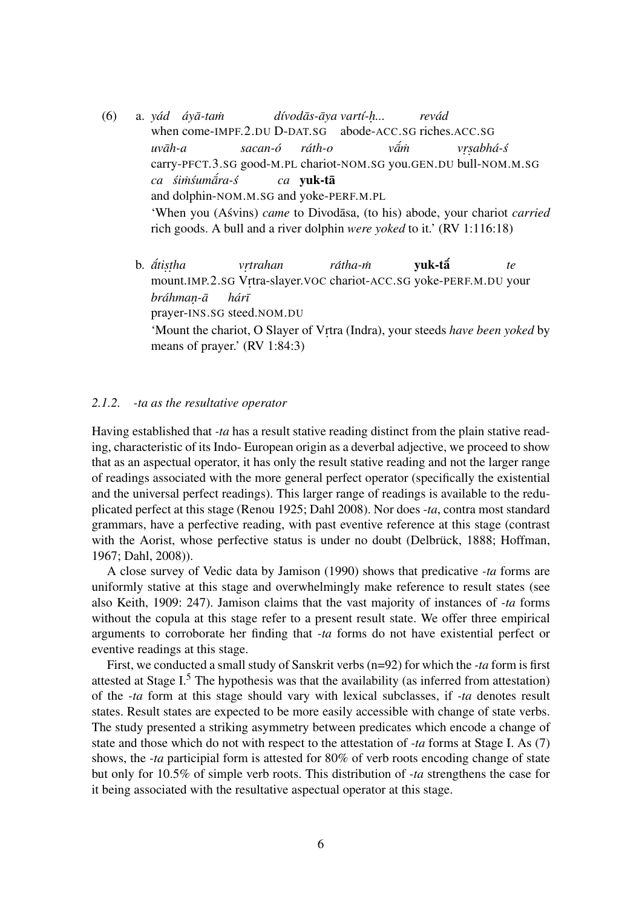- (6) a. *yád áyā-tam* when come-IMPF.2.DU D-DAT.SG *d´ıvodas- ¯ aya ¯ vart´ı-h. ...* abode-ACC.SG riches.ACC.SG *revad´ uvah-a ¯* carry-PFCT.3.SG good-M.PL chariot-NOM.SG you.GEN.DU bull-NOM.M.SG *sacan-o´ rath-o ´*  $v\acute{a}$ *m vr. s. abha-´ s´ ca si´ m˙ sum´ a¯ ´ra-s´* and dolphin-NOM.M.SG and yoke-PERF.M.PL *ca* yuk-ta¯ 'When you (Aśvins) *came* to Divodāsa, (to his) abode, your chariot *carried* rich goods. A bull and a river dolphin *were yoked* to it.' (RV 1:116:18)
	- b. *átiṣṭha* mount.IMP.2.SG Vrtra-slayer.VOC chariot-ACC.SG yoke-PERF.M.DU your *vr. trahan ratha- ´ m˙* yuk-tắ *te brahman ´ . -a¯* prayer-INS.SG steed.NOM.DU *har´ ¯ı*

'Mount the chariot, O Slayer of Vrtra (Indra), your steeds *have been yoked* by means of prayer.' (RV 1:84:3)

### *2.1.2. -ta as the resultative operator*

Having established that *-ta* has a result stative reading distinct from the plain stative reading, characteristic of its Indo- European origin as a deverbal adjective, we proceed to show that as an aspectual operator, it has only the result stative reading and not the larger range of readings associated with the more general perfect operator (specifically the existential and the universal perfect readings). This larger range of readings is available to the reduplicated perfect at this stage (Renou 1925; Dahl 2008). Nor does *-ta*, contra most standard grammars, have a perfective reading, with past eventive reference at this stage (contrast with the Aorist, whose perfective status is under no doubt (Delbrück, 1888; Hoffman, 1967; Dahl, 2008)).

A close survey of Vedic data by Jamison (1990) shows that predicative *-ta* forms are uniformly stative at this stage and overwhelmingly make reference to result states (see also Keith, 1909: 247). Jamison claims that the vast majority of instances of *-ta* forms without the copula at this stage refer to a present result state. We offer three empirical arguments to corroborate her finding that *-ta* forms do not have existential perfect or eventive readings at this stage.

First, we conducted a small study of Sanskrit verbs (n=92) for which the *-ta* form is first attested at Stage  $I<sup>5</sup>$ . The hypothesis was that the availability (as inferred from attestation) of the *-ta* form at this stage should vary with lexical subclasses, if *-ta* denotes result states. Result states are expected to be more easily accessible with change of state verbs. The study presented a striking asymmetry between predicates which encode a change of state and those which do not with respect to the attestation of *-ta* forms at Stage I. As (7) shows, the *-ta* participial form is attested for 80% of verb roots encoding change of state but only for 10.5% of simple verb roots. This distribution of *-ta* strengthens the case for it being associated with the resultative aspectual operator at this stage.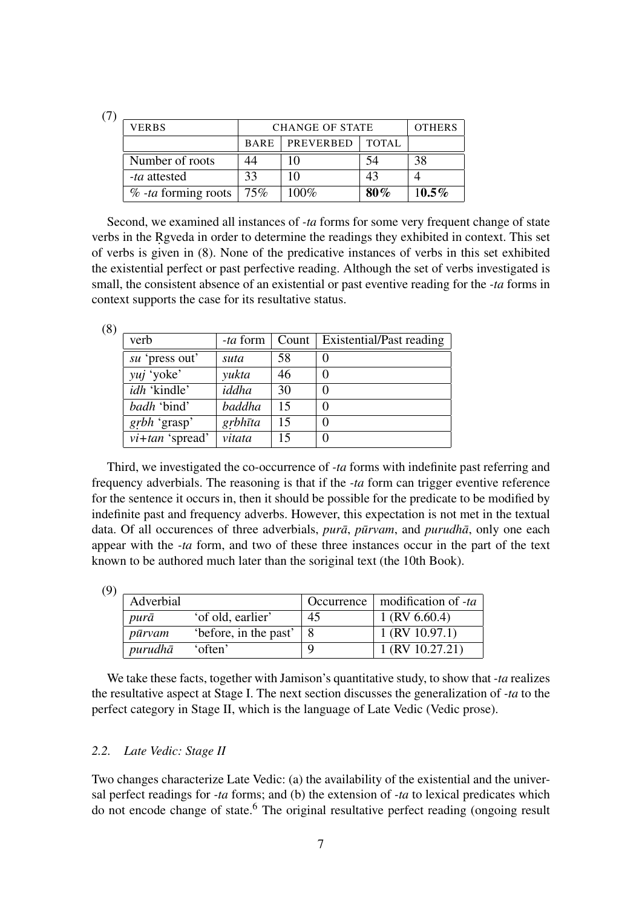| <b>VERBS</b>          | <b>CHANGE OF STATE</b> | <b>OTHERS</b> |        |          |
|-----------------------|------------------------|---------------|--------|----------|
|                       | <b>BARE</b>            | PREVERBED     | TOTAL  |          |
| Number of roots       |                        |               |        |          |
| <i>ta</i> attested    | 33                     | ۱0            | 43     |          |
| $% -ta$ forming roots | 75%                    | $100\%$       | $80\%$ | $10.5\%$ |

Second, we examined all instances of *-ta* forms for some very frequent change of state verbs in the Rgveda in order to determine the readings they exhibited in context. This set of verbs is given in (8). None of the predicative instances of verbs in this set exhibited the existential perfect or past perfective reading. Although the set of verbs investigated is small, the consistent absence of an existential or past eventive reading for the *-ta* forms in context supports the case for its resultative status.

| (8) |                     |                |       |                          |
|-----|---------------------|----------------|-------|--------------------------|
|     | verb                | <i>ta</i> form | Count | Existential/Past reading |
|     | su 'press out'      | suta           | 58    | $\left( \right)$         |
|     | <i>yuj</i> 'yoke'   | yukta          | 46    | 0                        |
|     | <i>idh</i> 'kindle' | iddha          | 30    | $\theta$                 |
|     | <i>badh</i> 'bind'  | baddha         | 15    | 0                        |
|     | <i>grbh</i> 'grasp' | grbhīta        | 15    | $\mathcal{O}$            |
|     | $vittan$ 'spread'   | vitata         | 15    | 0                        |

Third, we investigated the co-occurrence of *-ta* forms with indefinite past referring and frequency adverbials. The reasoning is that if the *-ta* form can trigger eventive reference for the sentence it occurs in, then it should be possible for the predicate to be modified by indefinite past and frequency adverbs. However, this expectation is not met in the textual data. Of all occurences of three adverbials, *pura*, *puram*, and *purudha*, only one each appear with the *-ta* form, and two of these three instances occur in the part of the text known to be authored much later than the soriginal text (the 10th Book).

| Adverbial |                       | Occurrence | modification of -ta |  |  |
|-----------|-----------------------|------------|---------------------|--|--|
| purā      | 'of old, earlier'     | 45         | $1$ (RV 6.60.4)     |  |  |
| pūrvam    | 'before, in the past' |            | $1$ (RV 10.97.1)    |  |  |
| purudhā   | 'often'               |            | $1$ (RV 10.27.21)   |  |  |

We take these facts, together with Jamison's quantitative study, to show that *-ta* realizes the resultative aspect at Stage I. The next section discusses the generalization of *-ta* to the perfect category in Stage II, which is the language of Late Vedic (Vedic prose).

# *2.2. Late Vedic: Stage II*

Two changes characterize Late Vedic: (a) the availability of the existential and the universal perfect readings for *-ta* forms; and (b) the extension of *-ta* to lexical predicates which do not encode change of state.<sup>6</sup> The original resultative perfect reading (ongoing result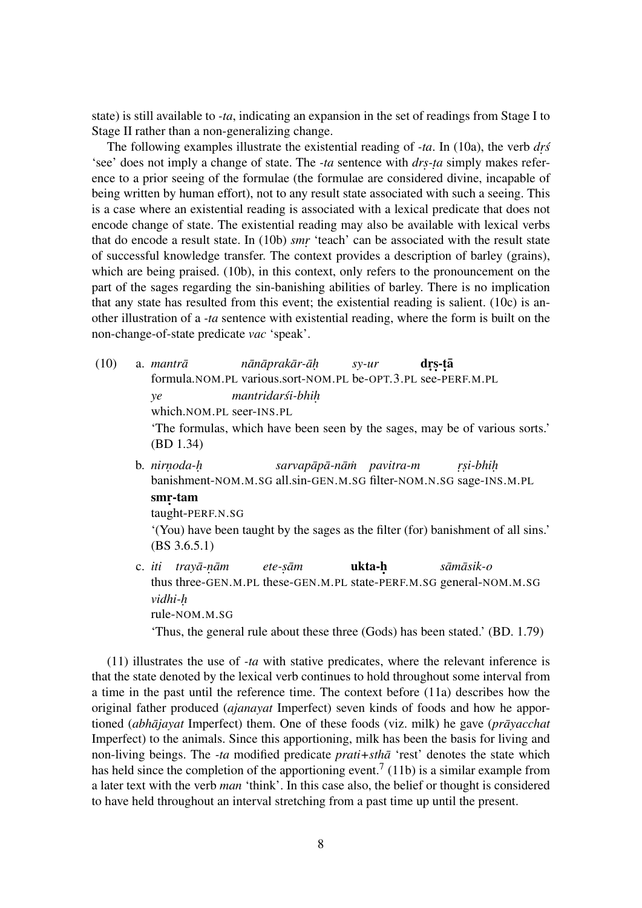state) is still available to *-ta*, indicating an expansion in the set of readings from Stage I to Stage II rather than a non-generalizing change.

The following examples illustrate the existential reading of *-ta*. In (10a), the verb *dr.*s 'see' does not imply a change of state. The *-ta* sentence with *drs-ta* simply makes reference to a prior seeing of the formulae (the formulae are considered divine, incapable of being written by human effort), not to any result state associated with such a seeing. This is a case where an existential reading is associated with a lexical predicate that does not encode change of state. The existential reading may also be available with lexical verbs that do encode a result state. In (10b) *smr.* 'teach' can be associated with the result state of successful knowledge transfer. The context provides a description of barley (grains), which are being praised. (10b), in this context, only refers to the pronouncement on the part of the sages regarding the sin-banishing abilities of barley. There is no implication that any state has resulted from this event; the existential reading is salient. (10c) is another illustration of a *-ta* sentence with existential reading, where the form is built on the non-change-of-state predicate *vac* 'speak'.

- (10) a. *mantra¯* formula.NOM.PL various.sort-NOM.PL be-OPT.3.PL see-PERF.M.PL *nan¯ aprak ¯ ar- ¯ ah¯. sy-ur* drs-țā *ye* which.NOM.PL seer-INS.PL *mantridarsi-bhih ´ .* 'The formulas, which have been seen by the sages, may be of various sorts.' (BD 1.34) b. *nirn. oda-h. sarvapap¯ a-n ¯ a¯m˙ pavitra-m*
	- banishment-NOM.M.SG all.sin-GEN.M.SG filter-NOM.N.SG sage-INS.M.PL *r. s. i-bhih.* smr-tam taught-PERF.N.SG

'(You) have been taught by the sages as the filter (for) banishment of all sins.' (BS 3.6.5.1)

c. *iti* trayā-ņām thus three-GEN.M.PL these-GEN.M.PL state-PERF.M.SG general-NOM.M.SG *ete-s. am¯* ukta-h. *sam¯ asik-o ¯ vidhi-h.* rule-NOM.M.SG

'Thus, the general rule about these three (Gods) has been stated.' (BD. 1.79)

(11) illustrates the use of *-ta* with stative predicates, where the relevant inference is that the state denoted by the lexical verb continues to hold throughout some interval from a time in the past until the reference time. The context before (11a) describes how the original father produced (*ajanayat* Imperfect) seven kinds of foods and how he apportioned (*abhājayat* Imperfect) them. One of these foods (viz. milk) he gave (*prāyacchat* Imperfect) to the animals. Since this apportioning, milk has been the basis for living and non-living beings. The *-ta* modified predicate *prati+stha* 'rest' denotes the state which has held since the completion of the apportioning event.<sup>7</sup> (11b) is a similar example from a later text with the verb *man* 'think'. In this case also, the belief or thought is considered to have held throughout an interval stretching from a past time up until the present.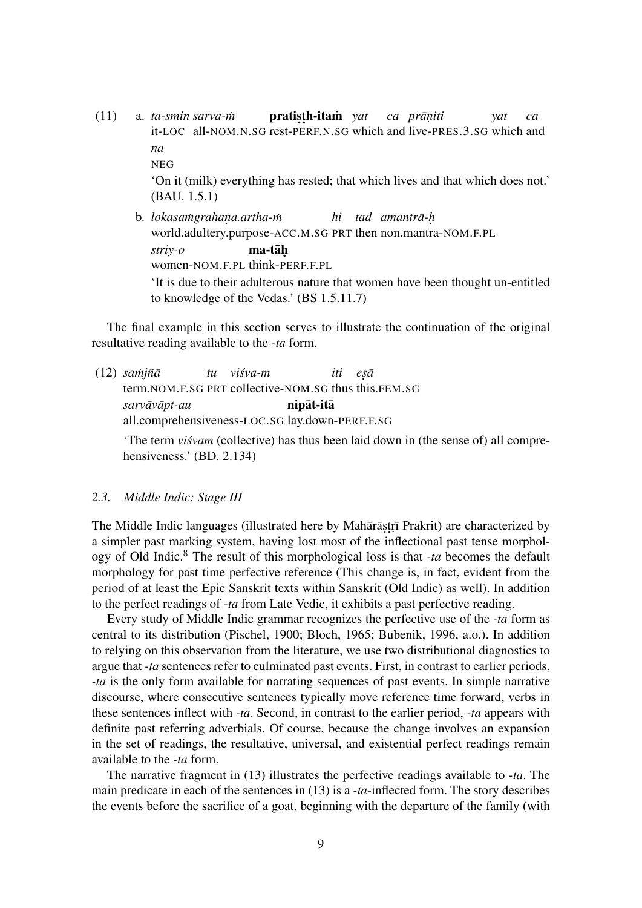- (11) a. *ta-smin sarva-m˙* it-LOC all-NOM.N.SG rest-PERF.N.SG which and live-PRES.3.SG which and **pratisth-itam** yat *ca pran¯. iti yat ca na* NEG 'On it (milk) everything has rested; that which lives and that which does not.' (BAU. 1.5.1)
	- b. *lokasamgrahan ˙ . a.artha-m˙* world.adultery.purpose-ACC.M.SG PRT then non.mantra-NOM.F.PL *hi tad amantra-h ¯ . striy-o* women-NOM.F.PL think-PERF.F.PL ma-tāḥ 'It is due to their adulterous nature that women have been thought un-entitled to knowledge of the Vedas.' (BS 1.5.11.7)

The final example in this section serves to illustrate the continuation of the original resultative reading available to the *-ta* form.

(12) *samj ˙ n˜a¯* term.NOM.F.SG PRT collective-NOM.SG thus this.FEM.SG *tu visva-m ´ iti es. a¯ sarvav¯ apt-au ¯* all.comprehensiveness-LOC.SG lay.down-PERF.F.SG nipāt-itā 'The term *visvam* (collective) has thus been laid down in (the sense of) all compre-

hensiveness.' (BD. 2.134)

## *2.3. Middle Indic: Stage III*

The Middle Indic languages (illustrated here by Mahārāṣṭṛī Prakrit) are characterized by a simpler past marking system, having lost most of the inflectional past tense morphology of Old Indic.<sup>8</sup> The result of this morphological loss is that *-ta* becomes the default morphology for past time perfective reference (This change is, in fact, evident from the period of at least the Epic Sanskrit texts within Sanskrit (Old Indic) as well). In addition to the perfect readings of *-ta* from Late Vedic, it exhibits a past perfective reading.

Every study of Middle Indic grammar recognizes the perfective use of the *-ta* form as central to its distribution (Pischel, 1900; Bloch, 1965; Bubenik, 1996, a.o.). In addition to relying on this observation from the literature, we use two distributional diagnostics to argue that *-ta* sentences refer to culminated past events. First, in contrast to earlier periods, *-ta* is the only form available for narrating sequences of past events. In simple narrative discourse, where consecutive sentences typically move reference time forward, verbs in these sentences inflect with *-ta*. Second, in contrast to the earlier period, *-ta* appears with definite past referring adverbials. Of course, because the change involves an expansion in the set of readings, the resultative, universal, and existential perfect readings remain available to the *-ta* form.

The narrative fragment in (13) illustrates the perfective readings available to *-ta*. The main predicate in each of the sentences in (13) is a *-ta*-inflected form. The story describes the events before the sacrifice of a goat, beginning with the departure of the family (with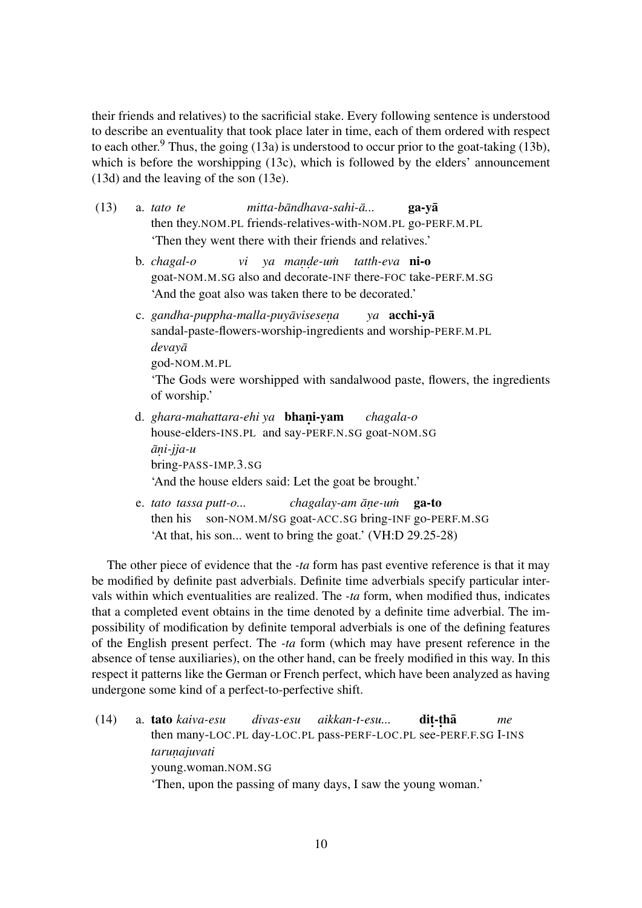their friends and relatives) to the sacrificial stake. Every following sentence is understood to describe an eventuality that took place later in time, each of them ordered with respect to each other.<sup>9</sup> Thus, the going (13a) is understood to occur prior to the goat-taking (13b), which is before the worshipping (13c), which is followed by the elders' announcement (13d) and the leaving of the son (13e).

- (13) a. *tato te* then they.NOM.PL friends-relatives-with-NOM.PL go-PERF.M.PL *mitta-bandhava-sahi- ¯ a... ¯* ga-yā 'Then they went there with their friends and relatives.'
	- b. *chagal-o* goat-NOM.M.SG also and decorate-INF there-FOC take-PERF.M.SG *vi ya man. d. e-um˙ tatth-eva* ni-o 'And the goat also was taken there to be decorated.'
	- c. *gandha-puppha-malla-puyavisesen ¯ . a* sandal-paste-flowers-worship-ingredients and worship-PERF.M.PL *ya* acchi-ya¯ *devaya¯* god-NOM.M.PL

'The Gods were worshipped with sandalwood paste, flowers, the ingredients of worship.'

- d. *ghara-mahattara-ehi ya* bhani-yam house-elders-INS.PL and say-PERF.N.SG goat-NOM.SG *chagala-o an¯. i-jja-u* bring-PASS-IMP.3.SG 'And the house elders said: Let the goat be brought.'
- e. *tato tassa putt-o...* then his son-NOM.M/SG goat-ACC.SG bring-INF go-PERF.M.SG *chagalay-am an¯. e-um˙* ga-to 'At that, his son... went to bring the goat.' (VH:D 29.25-28)

The other piece of evidence that the *-ta* form has past eventive reference is that it may be modified by definite past adverbials. Definite time adverbials specify particular intervals within which eventualities are realized. The *-ta* form, when modified thus, indicates that a completed event obtains in the time denoted by a definite time adverbial. The impossibility of modification by definite temporal adverbials is one of the defining features of the English present perfect. The *-ta* form (which may have present reference in the absence of tense auxiliaries), on the other hand, can be freely modified in this way. In this respect it patterns like the German or French perfect, which have been analyzed as having undergone some kind of a perfect-to-perfective shift.

(14) a. tato *kaiva-esu* then many-LOC.PL day-LOC.PL pass-PERF-LOC.PL see-PERF.F.SG I-INS *divas-esu aikkan-t-esu...* diț-țhā *me tarun. ajuvati* young.woman.NOM.SG 'Then, upon the passing of many days, I saw the young woman.'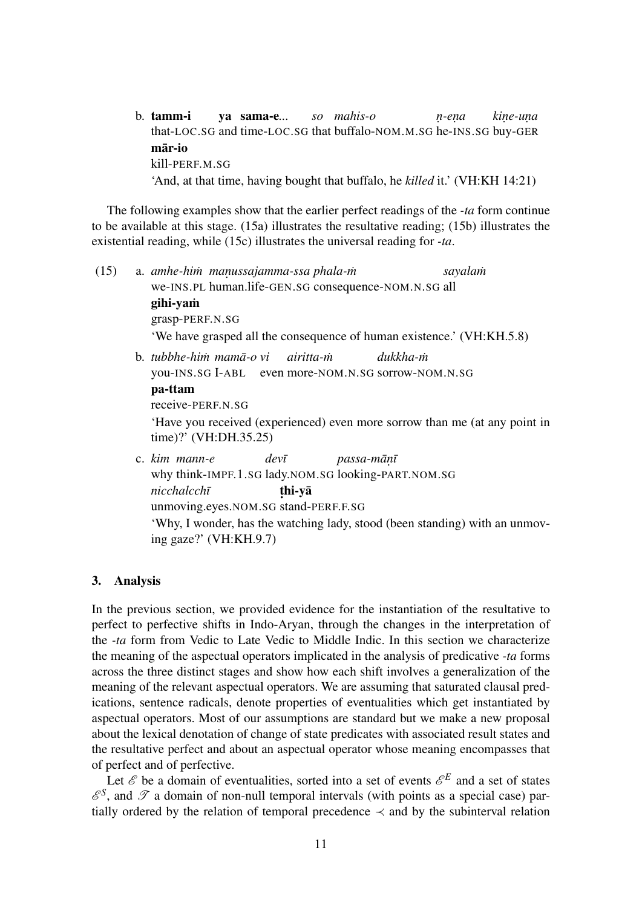b. tamm-i that-LOC.SG and time-LOC.SG that buffalo-NOM.M.SG he-INS.SG buy-GER ya sama-e*... so mahis-o n. -en. a*  $kin$ *e-una* mār-io kill-PERF.M.SG 'And, at that time, having bought that buffalo, he *killed* it.' (VH:KH 14:21)

The following examples show that the earlier perfect readings of the *-ta* form continue to be available at this stage. (15a) illustrates the resultative reading; (15b) illustrates the existential reading, while (15c) illustrates the universal reading for *-ta*.

(15) a. *amhe-him˙ man. ussajamma-ssa phala-m˙* we-INS.PL human.life-GEN.SG consequence-NOM.N.SG all *sayalam˙* gihi-yam˙ grasp-PERF.N.SG 'We have grasped all the consequence of human existence.' (VH:KH.5.8) b. *tubbhe-him˙ mama-o ¯ vi* you-INS.SG I-ABL even more-NOM.N.SG sorrow-NOM.N.SG *airitta-m˙ dukkha-m˙* pa-ttam receive-PERF.N.SG 'Have you received (experienced) even more sorrow than me (at any point in time)?' (VH:DH.35.25) c. *kim mann-e* why think-IMPF.1.SG lady.NOM.SG looking-PART.NOM.SG *dev¯ı passa-man¯. ¯ı nicchalcch¯ı* unmoving.eyes.NOM.SG stand-PERF.F.SG t . hi-ya¯

> 'Why, I wonder, has the watching lady, stood (been standing) with an unmoving gaze?' (VH:KH.9.7)

## 3. Analysis

In the previous section, we provided evidence for the instantiation of the resultative to perfect to perfective shifts in Indo-Aryan, through the changes in the interpretation of the *-ta* form from Vedic to Late Vedic to Middle Indic. In this section we characterize the meaning of the aspectual operators implicated in the analysis of predicative *-ta* forms across the three distinct stages and show how each shift involves a generalization of the meaning of the relevant aspectual operators. We are assuming that saturated clausal predications, sentence radicals, denote properties of eventualities which get instantiated by aspectual operators. Most of our assumptions are standard but we make a new proposal about the lexical denotation of change of state predicates with associated result states and the resultative perfect and about an aspectual operator whose meaning encompasses that of perfect and of perfective.

Let  $\mathscr E$  be a domain of eventualities, sorted into a set of events  $\mathscr E^E$  and a set of states  $\mathscr{E}^S$ , and  $\mathscr{T}$  a domain of non-null temporal intervals (with points as a special case) partially ordered by the relation of temporal precedence  $\prec$  and by the subinterval relation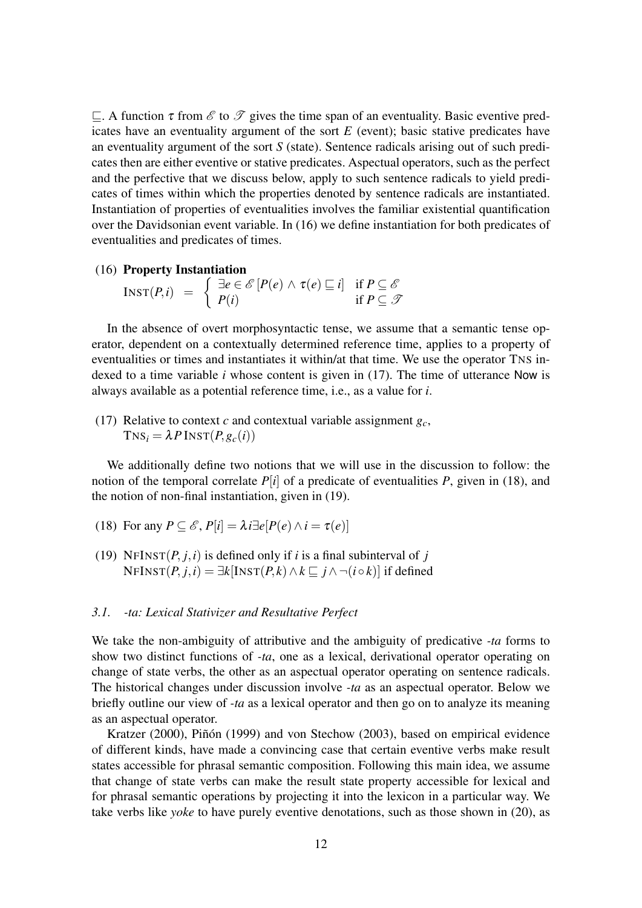$\Box$ . A function  $\tau$  from  $\mathscr E$  to  $\mathscr T$  gives the time span of an eventuality. Basic eventive predicates have an eventuality argument of the sort *E* (event); basic stative predicates have an eventuality argument of the sort *S* (state). Sentence radicals arising out of such predicates then are either eventive or stative predicates. Aspectual operators, such as the perfect and the perfective that we discuss below, apply to such sentence radicals to yield predicates of times within which the properties denoted by sentence radicals are instantiated. Instantiation of properties of eventualities involves the familiar existential quantification over the Davidsonian event variable. In (16) we define instantiation for both predicates of eventualities and predicates of times.

#### (16) Property Instantiation

 $\text{INST}(P, i) = \left\{ \begin{array}{ll} \exists e \in \mathscr{E} \left[ P(e) \wedge \tau(e) \sqsubseteq i \right] & \text{if } P \subseteq \mathscr{E} \ P(e) & \text{if } P \subseteq \mathscr{E} \end{array} \right.$ *P*(*i*) if  $P \subseteq \mathcal{G}$ 

In the absence of overt morphosyntactic tense, we assume that a semantic tense operator, dependent on a contextually determined reference time, applies to a property of eventualities or times and instantiates it within/at that time. We use the operator TNS indexed to a time variable *i* whose content is given in (17). The time of utterance Now is always available as a potential reference time, i.e., as a value for *i*.

(17) Relative to context *c* and contextual variable assignment *gc*,  $TNS<sub>i</sub> = \lambda P$  INST $(P, g<sub>c</sub>(i))$ 

We additionally define two notions that we will use in the discussion to follow: the notion of the temporal correlate  $P[i]$  of a predicate of eventualities  $P$ , given in (18), and the notion of non-final instantiation, given in (19).

- (18) For any  $P \subseteq \mathcal{E}$ ,  $P[i] = \lambda i \exists e [P(e) \land i = \tau(e)]$
- (19) NFINST $(P, j, i)$  is defined only if *i* is a final subinterval of *j*  $NFINST(P, j, i) = \exists k[INST(P, k) \land k \sqsubseteq j \land \neg(i \circ k)]$  if defined

#### *3.1. -ta: Lexical Stativizer and Resultative Perfect*

We take the non-ambiguity of attributive and the ambiguity of predicative *-ta* forms to show two distinct functions of *-ta*, one as a lexical, derivational operator operating on change of state verbs, the other as an aspectual operator operating on sentence radicals. The historical changes under discussion involve *-ta* as an aspectual operator. Below we briefly outline our view of *-ta* as a lexical operator and then go on to analyze its meaning as an aspectual operator.

Kratzer (2000), Piñón (1999) and von Stechow (2003), based on empirical evidence of different kinds, have made a convincing case that certain eventive verbs make result states accessible for phrasal semantic composition. Following this main idea, we assume that change of state verbs can make the result state property accessible for lexical and for phrasal semantic operations by projecting it into the lexicon in a particular way. We take verbs like *yoke* to have purely eventive denotations, such as those shown in (20), as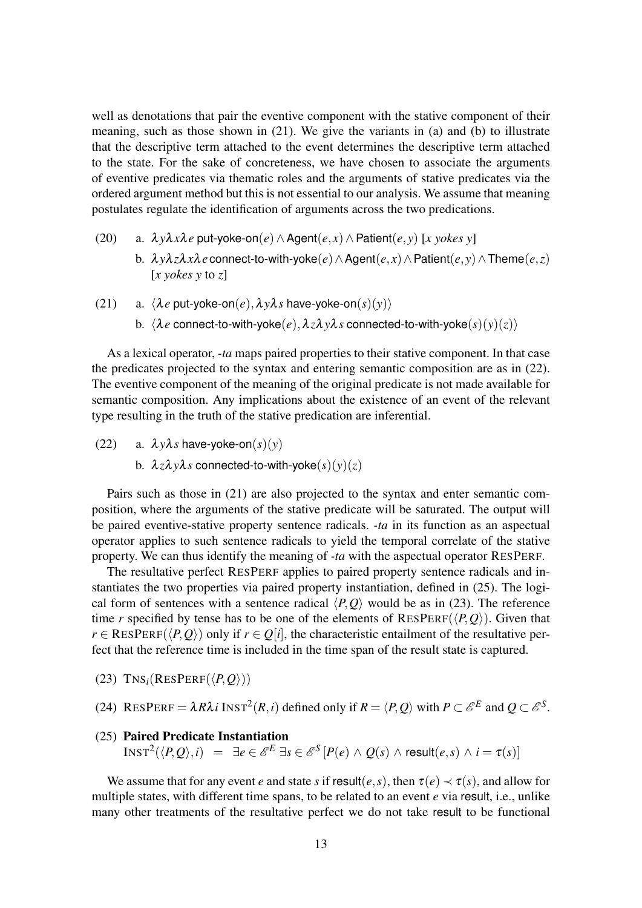well as denotations that pair the eventive component with the stative component of their meaning, such as those shown in (21). We give the variants in (a) and (b) to illustrate that the descriptive term attached to the event determines the descriptive term attached to the state. For the sake of concreteness, we have chosen to associate the arguments of eventive predicates via thematic roles and the arguments of stative predicates via the ordered argument method but this is not essential to our analysis. We assume that meaning postulates regulate the identification of arguments across the two predications.

- (20) a.  $\lambda y \lambda x \lambda e$  put-yoke-on(*e*)  $\wedge$  Agent(*e*, *x*)  $\wedge$  Patient(*e*, *y*) [*x yokes y*]
	- b.  $\lambda y \lambda z \lambda x \lambda e$  connect-to-with-yoke $(e) \wedge$ Agent $(e, x) \wedge$ Patient $(e, y) \wedge$ Theme $(e, z)$ [*x yokes y* to *z*]
- (21) a.  $\langle \lambda e \text{ put-voke-on}(e), \lambda y \lambda s \text{ have-voke-on}(s)(y) \rangle$ 
	- b.  $\langle \lambda e \text{ connect-to-with-yoke}(e), \lambda z \lambda y \lambda s \text{ connected-to-with-yoke}(s)(y)(z) \rangle$

As a lexical operator, *-ta* maps paired properties to their stative component. In that case the predicates projected to the syntax and entering semantic composition are as in (22). The eventive component of the meaning of the original predicate is not made available for semantic composition. Any implications about the existence of an event of the relevant type resulting in the truth of the stative predication are inferential.

- (22) a.  $\lambda y \lambda s$  have-yoke-on(s)(y)
	- b.  $\lambda z \lambda y \lambda s$  connected-to-with-yoke $(s)(y)(z)$

Pairs such as those in (21) are also projected to the syntax and enter semantic composition, where the arguments of the stative predicate will be saturated. The output will be paired eventive-stative property sentence radicals. *-ta* in its function as an aspectual operator applies to such sentence radicals to yield the temporal correlate of the stative property. We can thus identify the meaning of *-ta* with the aspectual operator RESPERF.

The resultative perfect RESPERF applies to paired property sentence radicals and instantiates the two properties via paired property instantiation, defined in (25). The logical form of sentences with a sentence radical  $\langle P, Q \rangle$  would be as in (23). The reference time *r* specified by tense has to be one of the elements of RESPERF( $\langle P, Q \rangle$ ). Given that  $r \in \text{ResPERF}(\langle P, Q \rangle)$  only if  $r \in Q[i]$ , the characteristic entailment of the resultative perfect that the reference time is included in the time span of the result state is captured.

- (23)  $TNS<sub>i</sub>(RESPERF( $\langle P,Q \rangle$ ))$
- (24) RESPERF =  $\lambda R \lambda i$  INST<sup>2</sup>(*R*,*i*) defined only if  $R = \langle P, Q \rangle$  with  $P \subset \mathcal{E}^E$  and  $Q \subset \mathcal{E}^S$ .
- (25) Paired Predicate Instantiation  $\text{INST}^2(\langle P, Q \rangle, i) \;\; = \;\; \exists e \in \mathscr{E}^E \; \exists s \in \mathscr{E}^S \left[ P(e) \land Q(s) \land \text{result}(e,s) \land i = \tau(s) \right]$

We assume that for any event *e* and state *s* if result(*e*,*s*), then  $\tau(e) \prec \tau(s)$ , and allow for multiple states, with different time spans, to be related to an event *e* via result, i.e., unlike many other treatments of the resultative perfect we do not take result to be functional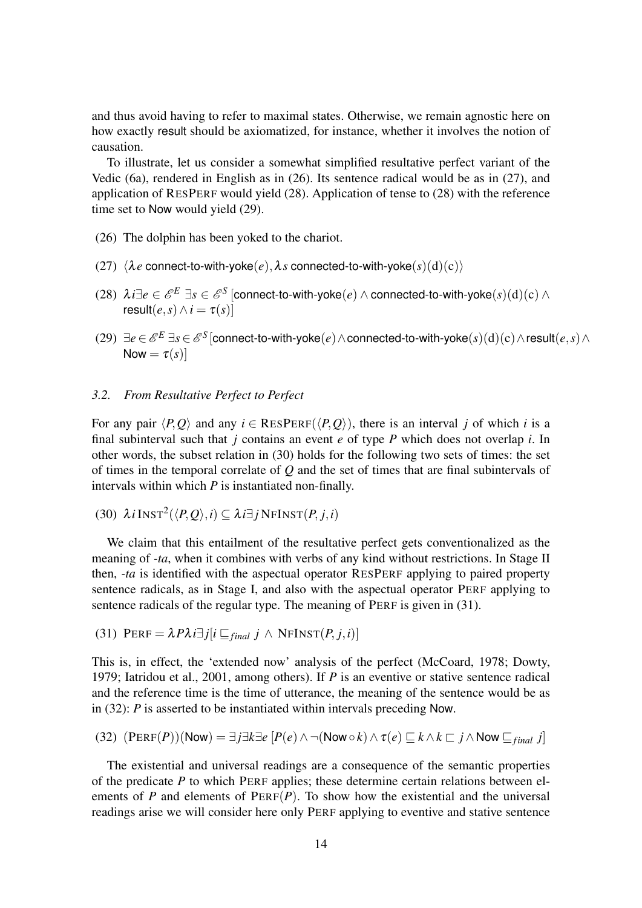and thus avoid having to refer to maximal states. Otherwise, we remain agnostic here on how exactly result should be axiomatized, for instance, whether it involves the notion of causation.

To illustrate, let us consider a somewhat simplified resultative perfect variant of the Vedic (6a), rendered in English as in (26). Its sentence radical would be as in (27), and application of RESPERF would yield (28). Application of tense to (28) with the reference time set to Now would yield (29).

- (26) The dolphin has been yoked to the chariot.
- (27)  $\langle \lambda e$  connect-to-with-yoke(*e*),  $\lambda s$  connected-to-with-yoke(*s*)(d)(c))
- (28)  $\lambda i \exists e \in \mathscr{E}^E \exists s \in \mathscr{E}^S$  [connect-to-with-yoke(*e*) ∧ connected-to-with-yoke(*s*)(d)(c) ∧  $result(e, s) \wedge i = \tau(s)$
- (29)  $\exists e \in \mathscr{E}^E \exists s \in \mathscr{E}^S$  [connect-to-with-yoke $(e) \land$ connected-to-with-yoke $(s)(d)(c) \land$ result $(e, s) \land$ Now  $=\tau(s)$ ]

# *3.2. From Resultative Perfect to Perfect*

For any pair  $\langle P, Q \rangle$  and any  $i \in \text{ResPERF}(\langle P, Q \rangle)$ , there is an interval *j* of which *i* is a final subinterval such that *j* contains an event *e* of type *P* which does not overlap *i*. In other words, the subset relation in (30) holds for the following two sets of times: the set of times in the temporal correlate of *Q* and the set of times that are final subintervals of intervals within which *P* is instantiated non-finally.

(30) 
$$
\lambda i
$$
INST<sup>2</sup> $(\langle P, Q \rangle, i) \subseteq \lambda i \exists j$ NFINST $(P, j, i)$ 

We claim that this entailment of the resultative perfect gets conventionalized as the meaning of *-ta*, when it combines with verbs of any kind without restrictions. In Stage II then, *-ta* is identified with the aspectual operator RESPERF applying to paired property sentence radicals, as in Stage I, and also with the aspectual operator PERF applying to sentence radicals of the regular type. The meaning of PERF is given in (31).

(31) 
$$
\text{PERF} = \lambda P \lambda i \exists j [i \sqsubseteq_{final} j \land \text{NFINST}(P, j, i)]
$$

This is, in effect, the 'extended now' analysis of the perfect (McCoard, 1978; Dowty, 1979; Iatridou et al., 2001, among others). If *P* is an eventive or stative sentence radical and the reference time is the time of utterance, the meaning of the sentence would be as in (32): *P* is asserted to be instantiated within intervals preceding Now.

(32) 
$$
(\text{PERF}(P))(\text{Now}) = \exists j \exists k \exists e \ [P(e) \land \neg(\text{Now} \circ k) \land \tau(e) \sqsubseteq k \land k \sqsubset j \land \text{Now} \sqsubseteq_{final} j]
$$

The existential and universal readings are a consequence of the semantic properties of the predicate *P* to which PERF applies; these determine certain relations between elements of  $P$  and elements of  $PERF(P)$ . To show how the existential and the universal readings arise we will consider here only PERF applying to eventive and stative sentence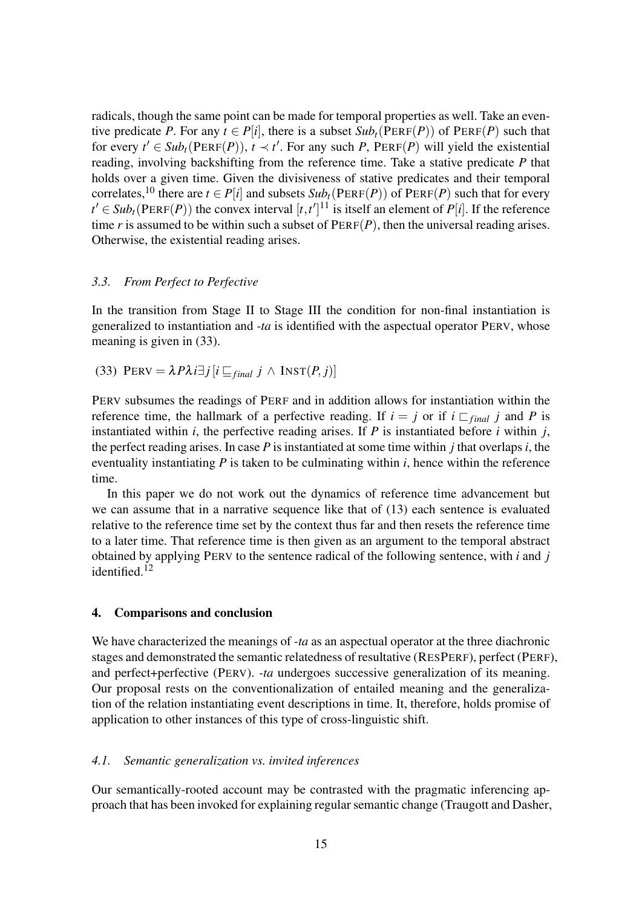radicals, though the same point can be made for temporal properties as well. Take an eventive predicate *P*. For any  $t \in P[i]$ , there is a subset  $Sub_t(PERF(P))$  of  $PERF(P)$  such that for every  $t' \in Sub_t(PERF(P)), t \prec t'$ . For any such *P*,  $PERF(P)$  will yield the existential reading, involving backshifting from the reference time. Take a stative predicate *P* that holds over a given time. Given the divisiveness of stative predicates and their temporal correlates,<sup>10</sup> there are  $t \in P[i]$  and subsets  $Sub_t(PERF(P))$  of  $PERF(P)$  such that for every  $t' \in Sub_t(PERF(P))$  the convex interval  $[t, t']^{11}$  is itself an element of *P*[*i*]. If the reference time  $r$  is assumed to be within such a subset of  $PERF(P)$ , then the universal reading arises. Otherwise, the existential reading arises.

## *3.3. From Perfect to Perfective*

In the transition from Stage II to Stage III the condition for non-final instantiation is generalized to instantiation and *-ta* is identified with the aspectual operator PERV, whose meaning is given in (33).

(33) PERV =  $\lambda P \lambda i \exists j [i \sqsubset_{final} j \wedge \text{INST}(P, j)]$ 

PERV subsumes the readings of PERF and in addition allows for instantiation within the reference time, the hallmark of a perfective reading. If  $i = j$  or if  $i \nightharpoonup f$  and P is instantiated within  $i$ , the perfective reading arises. If  $P$  is instantiated before  $i$  within  $j$ , the perfect reading arises. In case *P* is instantiated at some time within *j* that overlaps *i*, the eventuality instantiating *P* is taken to be culminating within *i*, hence within the reference time.

In this paper we do not work out the dynamics of reference time advancement but we can assume that in a narrative sequence like that of (13) each sentence is evaluated relative to the reference time set by the context thus far and then resets the reference time to a later time. That reference time is then given as an argument to the temporal abstract obtained by applying PERV to the sentence radical of the following sentence, with *i* and *j* identified.<sup>12</sup>

#### 4. Comparisons and conclusion

We have characterized the meanings of *-ta* as an aspectual operator at the three diachronic stages and demonstrated the semantic relatedness of resultative (RESPERF), perfect (PERF), and perfect+perfective (PERV). *-ta* undergoes successive generalization of its meaning. Our proposal rests on the conventionalization of entailed meaning and the generalization of the relation instantiating event descriptions in time. It, therefore, holds promise of application to other instances of this type of cross-linguistic shift.

# *4.1. Semantic generalization vs. invited inferences*

Our semantically-rooted account may be contrasted with the pragmatic inferencing approach that has been invoked for explaining regular semantic change (Traugott and Dasher,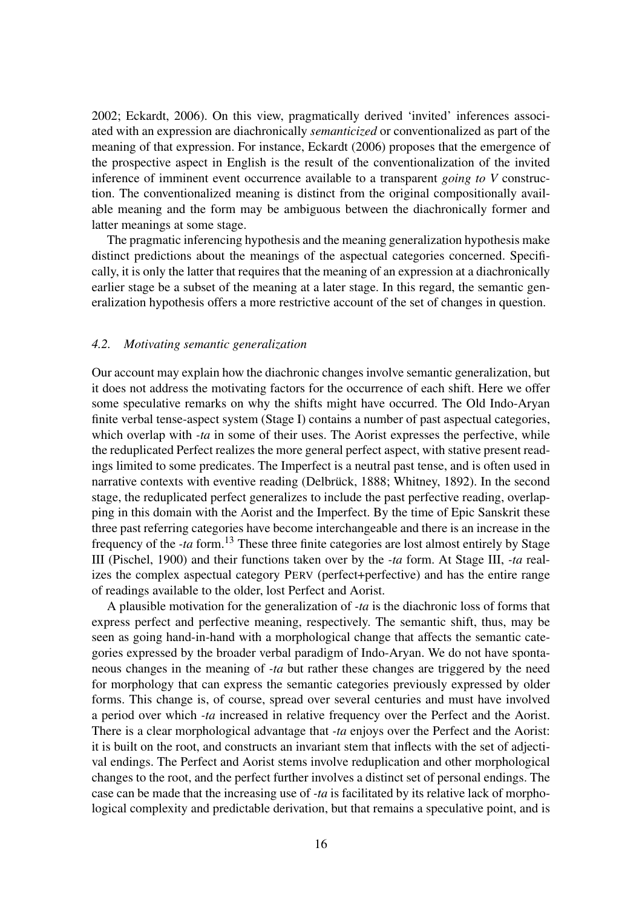2002; Eckardt, 2006). On this view, pragmatically derived 'invited' inferences associated with an expression are diachronically *semanticized* or conventionalized as part of the meaning of that expression. For instance, Eckardt (2006) proposes that the emergence of the prospective aspect in English is the result of the conventionalization of the invited inference of imminent event occurrence available to a transparent *going to V* construction. The conventionalized meaning is distinct from the original compositionally available meaning and the form may be ambiguous between the diachronically former and latter meanings at some stage.

The pragmatic inferencing hypothesis and the meaning generalization hypothesis make distinct predictions about the meanings of the aspectual categories concerned. Specifically, it is only the latter that requires that the meaning of an expression at a diachronically earlier stage be a subset of the meaning at a later stage. In this regard, the semantic generalization hypothesis offers a more restrictive account of the set of changes in question.

#### *4.2. Motivating semantic generalization*

Our account may explain how the diachronic changes involve semantic generalization, but it does not address the motivating factors for the occurrence of each shift. Here we offer some speculative remarks on why the shifts might have occurred. The Old Indo-Aryan finite verbal tense-aspect system (Stage I) contains a number of past aspectual categories, which overlap with *-ta* in some of their uses. The Aorist expresses the perfective, while the reduplicated Perfect realizes the more general perfect aspect, with stative present readings limited to some predicates. The Imperfect is a neutral past tense, and is often used in narrative contexts with eventive reading (Delbrück, 1888; Whitney, 1892). In the second stage, the reduplicated perfect generalizes to include the past perfective reading, overlapping in this domain with the Aorist and the Imperfect. By the time of Epic Sanskrit these three past referring categories have become interchangeable and there is an increase in the frequency of the *-ta* form.<sup>13</sup> These three finite categories are lost almost entirely by Stage III (Pischel, 1900) and their functions taken over by the *-ta* form. At Stage III, *-ta* realizes the complex aspectual category PERV (perfect+perfective) and has the entire range of readings available to the older, lost Perfect and Aorist.

A plausible motivation for the generalization of *-ta* is the diachronic loss of forms that express perfect and perfective meaning, respectively. The semantic shift, thus, may be seen as going hand-in-hand with a morphological change that affects the semantic categories expressed by the broader verbal paradigm of Indo-Aryan. We do not have spontaneous changes in the meaning of *-ta* but rather these changes are triggered by the need for morphology that can express the semantic categories previously expressed by older forms. This change is, of course, spread over several centuries and must have involved a period over which *-ta* increased in relative frequency over the Perfect and the Aorist. There is a clear morphological advantage that *-ta* enjoys over the Perfect and the Aorist: it is built on the root, and constructs an invariant stem that inflects with the set of adjectival endings. The Perfect and Aorist stems involve reduplication and other morphological changes to the root, and the perfect further involves a distinct set of personal endings. The case can be made that the increasing use of *-ta* is facilitated by its relative lack of morphological complexity and predictable derivation, but that remains a speculative point, and is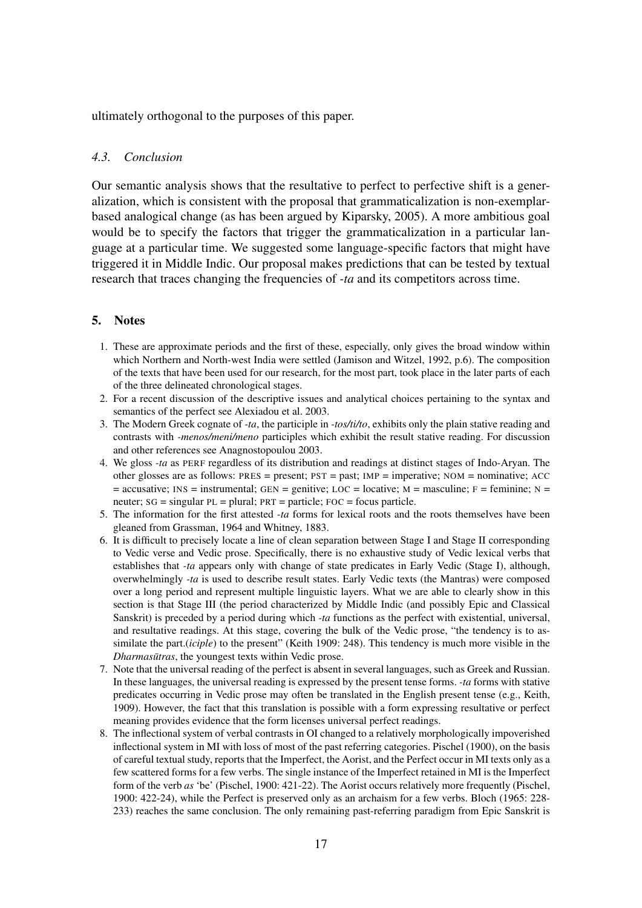ultimately orthogonal to the purposes of this paper.

## *4.3. Conclusion*

Our semantic analysis shows that the resultative to perfect to perfective shift is a generalization, which is consistent with the proposal that grammaticalization is non-exemplarbased analogical change (as has been argued by Kiparsky, 2005). A more ambitious goal would be to specify the factors that trigger the grammaticalization in a particular language at a particular time. We suggested some language-specific factors that might have triggered it in Middle Indic. Our proposal makes predictions that can be tested by textual research that traces changing the frequencies of *-ta* and its competitors across time.

## 5. Notes

- 1. These are approximate periods and the first of these, especially, only gives the broad window within which Northern and North-west India were settled (Jamison and Witzel, 1992, p.6). The composition of the texts that have been used for our research, for the most part, took place in the later parts of each of the three delineated chronological stages.
- 2. For a recent discussion of the descriptive issues and analytical choices pertaining to the syntax and semantics of the perfect see Alexiadou et al. 2003.
- 3. The Modern Greek cognate of *-ta*, the participle in *-tos/ti/to*, exhibits only the plain stative reading and contrasts with *-menos/meni/meno* participles which exhibit the result stative reading. For discussion and other references see Anagnostopoulou 2003.
- 4. We gloss *-ta* as PERF regardless of its distribution and readings at distinct stages of Indo-Aryan. The other glosses are as follows: PRES = present; PST = past; IMP = imperative; NOM = nominative; ACC  $=$  accusative; INS = instrumental; GEN = genitive; LOC = locative; M = masculine; F = feminine; N = neuter;  $SG = singular PL = plural$ ;  $PRT = particle$ ;  $FOC = focus particle$ .
- 5. The information for the first attested *-ta* forms for lexical roots and the roots themselves have been gleaned from Grassman, 1964 and Whitney, 1883.
- 6. It is difficult to precisely locate a line of clean separation between Stage I and Stage II corresponding to Vedic verse and Vedic prose. Specifically, there is no exhaustive study of Vedic lexical verbs that establishes that *-ta* appears only with change of state predicates in Early Vedic (Stage I), although, overwhelmingly *-ta* is used to describe result states. Early Vedic texts (the Mantras) were composed over a long period and represent multiple linguistic layers. What we are able to clearly show in this section is that Stage III (the period characterized by Middle Indic (and possibly Epic and Classical Sanskrit) is preceded by a period during which *-ta* functions as the perfect with existential, universal, and resultative readings. At this stage, covering the bulk of the Vedic prose, "the tendency is to assimilate the part.(*iciple*) to the present" (Keith 1909: 248). This tendency is much more visible in the *Dharmasūtras*, the youngest texts within Vedic prose.
- 7. Note that the universal reading of the perfect is absent in several languages, such as Greek and Russian. In these languages, the universal reading is expressed by the present tense forms. *-ta* forms with stative predicates occurring in Vedic prose may often be translated in the English present tense (e.g., Keith, 1909). However, the fact that this translation is possible with a form expressing resultative or perfect meaning provides evidence that the form licenses universal perfect readings.
- 8. The inflectional system of verbal contrasts in OI changed to a relatively morphologically impoverished inflectional system in MI with loss of most of the past referring categories. Pischel (1900), on the basis of careful textual study, reports that the Imperfect, the Aorist, and the Perfect occur in MI texts only as a few scattered forms for a few verbs. The single instance of the Imperfect retained in MI is the Imperfect form of the verb *as* 'be' (Pischel, 1900: 421-22). The Aorist occurs relatively more frequently (Pischel, 1900: 422-24), while the Perfect is preserved only as an archaism for a few verbs. Bloch (1965: 228- 233) reaches the same conclusion. The only remaining past-referring paradigm from Epic Sanskrit is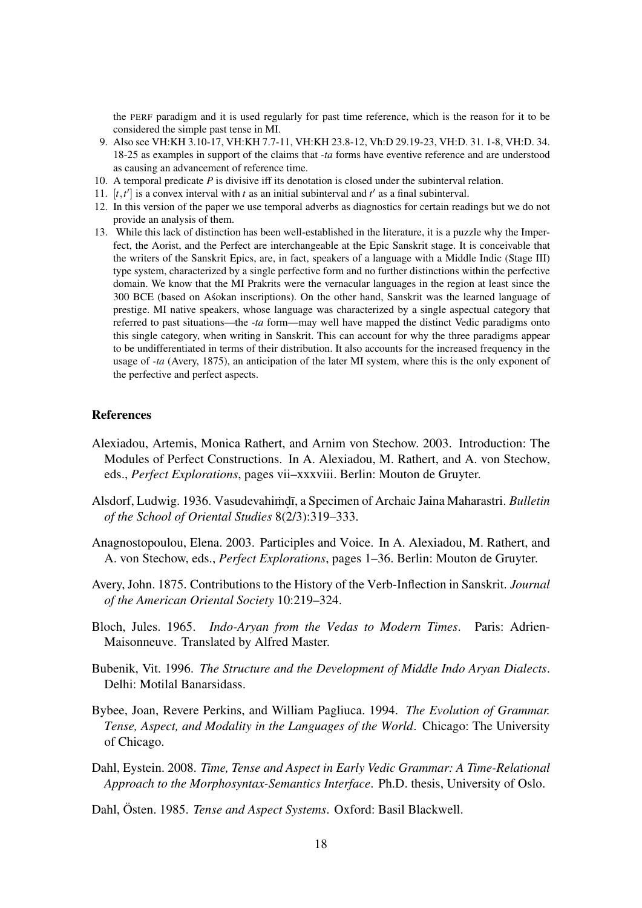the PERF paradigm and it is used regularly for past time reference, which is the reason for it to be considered the simple past tense in MI.

- 9. Also see VH:KH 3.10-17, VH:KH 7.7-11, VH:KH 23.8-12, Vh:D 29.19-23, VH:D. 31. 1-8, VH:D. 34. 18-25 as examples in support of the claims that *-ta* forms have eventive reference and are understood as causing an advancement of reference time.
- 10. A temporal predicate *P* is divisive iff its denotation is closed under the subinterval relation.
- 11.  $[t, t']$  is a convex interval with *t* as an initial subinterval and  $t'$  as a final subinterval.
- 12. In this version of the paper we use temporal adverbs as diagnostics for certain readings but we do not provide an analysis of them.
- 13. While this lack of distinction has been well-established in the literature, it is a puzzle why the Imperfect, the Aorist, and the Perfect are interchangeable at the Epic Sanskrit stage. It is conceivable that the writers of the Sanskrit Epics, are, in fact, speakers of a language with a Middle Indic (Stage III) type system, characterized by a single perfective form and no further distinctions within the perfective domain. We know that the MI Prakrits were the vernacular languages in the region at least since the 300 BCE (based on Asokan inscriptions). On the other hand, Sanskrit was the learned language of ´ prestige. MI native speakers, whose language was characterized by a single aspectual category that referred to past situations—the *-ta* form—may well have mapped the distinct Vedic paradigms onto this single category, when writing in Sanskrit. This can account for why the three paradigms appear to be undifferentiated in terms of their distribution. It also accounts for the increased frequency in the usage of *-ta* (Avery, 1875), an anticipation of the later MI system, where this is the only exponent of the perfective and perfect aspects.

#### **References**

- Alexiadou, Artemis, Monica Rathert, and Arnim von Stechow. 2003. Introduction: The Modules of Perfect Constructions. In A. Alexiadou, M. Rathert, and A. von Stechow, eds., *Perfect Explorations*, pages vii–xxxviii. Berlin: Mouton de Gruyter.
- Alsdorf, Ludwig. 1936. Vasudevahimdī, a Specimen of Archaic Jaina Maharastri. *Bulletin of the School of Oriental Studies* 8(2/3):319–333.
- Anagnostopoulou, Elena. 2003. Participles and Voice. In A. Alexiadou, M. Rathert, and A. von Stechow, eds., *Perfect Explorations*, pages 1–36. Berlin: Mouton de Gruyter.
- Avery, John. 1875. Contributions to the History of the Verb-Inflection in Sanskrit. *Journal of the American Oriental Society* 10:219–324.
- Bloch, Jules. 1965. *Indo-Aryan from the Vedas to Modern Times*. Paris: Adrien-Maisonneuve. Translated by Alfred Master.
- Bubenik, Vit. 1996. *The Structure and the Development of Middle Indo Aryan Dialects*. Delhi: Motilal Banarsidass.
- Bybee, Joan, Revere Perkins, and William Pagliuca. 1994. *The Evolution of Grammar. Tense, Aspect, and Modality in the Languages of the World*. Chicago: The University of Chicago.
- Dahl, Eystein. 2008. *Time, Tense and Aspect in Early Vedic Grammar: A Time-Relational Approach to the Morphosyntax-Semantics Interface*. Ph.D. thesis, University of Oslo.
- Dahl, Östen. 1985. *Tense and Aspect Systems*. Oxford: Basil Blackwell.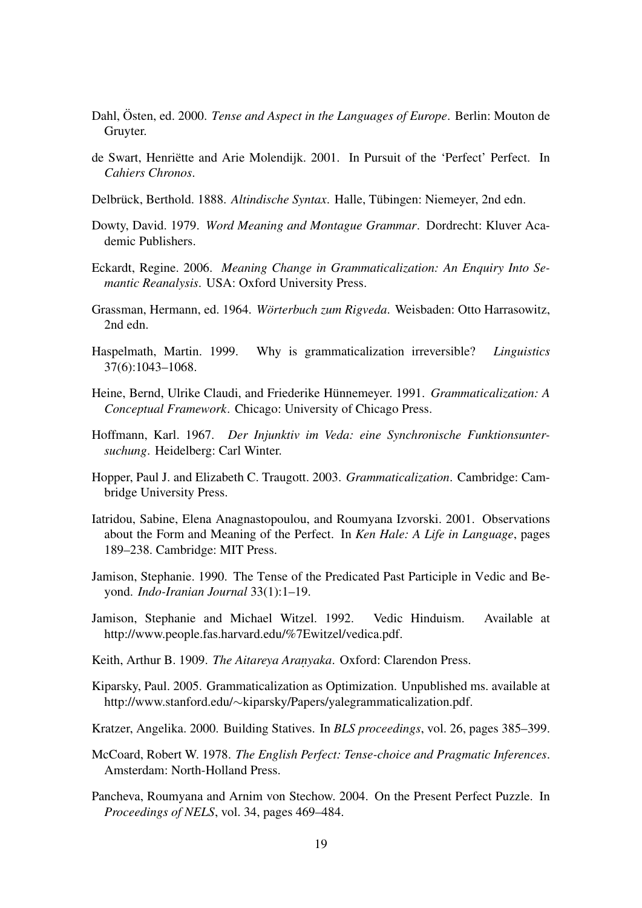- Dahl, Östen, ed. 2000. *Tense and Aspect in the Languages of Europe*. Berlin: Mouton de Gruyter.
- de Swart, Henriëtte and Arie Molendijk. 2001. In Pursuit of the 'Perfect' Perfect. In *Cahiers Chronos*.
- Delbrück, Berthold. 1888. Altindische Syntax. Halle, Tübingen: Niemeyer, 2nd edn.
- Dowty, David. 1979. *Word Meaning and Montague Grammar*. Dordrecht: Kluver Academic Publishers.
- Eckardt, Regine. 2006. *Meaning Change in Grammaticalization: An Enquiry Into Semantic Reanalysis*. USA: Oxford University Press.
- Grassman, Hermann, ed. 1964. Wörterbuch zum Rigveda. Weisbaden: Otto Harrasowitz, 2nd edn.
- Haspelmath, Martin. 1999. Why is grammaticalization irreversible? *Linguistics* 37(6):1043–1068.
- Heine, Bernd, Ulrike Claudi, and Friederike Hünnemeyer. 1991. *Grammaticalization: A Conceptual Framework*. Chicago: University of Chicago Press.
- Hoffmann, Karl. 1967. *Der Injunktiv im Veda: eine Synchronische Funktionsuntersuchung*. Heidelberg: Carl Winter.
- Hopper, Paul J. and Elizabeth C. Traugott. 2003. *Grammaticalization*. Cambridge: Cambridge University Press.
- Iatridou, Sabine, Elena Anagnastopoulou, and Roumyana Izvorski. 2001. Observations about the Form and Meaning of the Perfect. In *Ken Hale: A Life in Language*, pages 189–238. Cambridge: MIT Press.
- Jamison, Stephanie. 1990. The Tense of the Predicated Past Participle in Vedic and Beyond. *Indo-Iranian Journal* 33(1):1–19.
- Jamison, Stephanie and Michael Witzel. 1992. Vedic Hinduism. Available at http://www.people.fas.harvard.edu/%7Ewitzel/vedica.pdf.
- Keith, Arthur B. 1909. *The Aitareya Aranyaka*. Oxford: Clarendon Press.
- Kiparsky, Paul. 2005. Grammaticalization as Optimization. Unpublished ms. available at http://www.stanford.edu/∼kiparsky/Papers/yalegrammaticalization.pdf.
- Kratzer, Angelika. 2000. Building Statives. In *BLS proceedings*, vol. 26, pages 385–399.
- McCoard, Robert W. 1978. *The English Perfect: Tense-choice and Pragmatic Inferences*. Amsterdam: North-Holland Press.
- Pancheva, Roumyana and Arnim von Stechow. 2004. On the Present Perfect Puzzle. In *Proceedings of NELS*, vol. 34, pages 469–484.